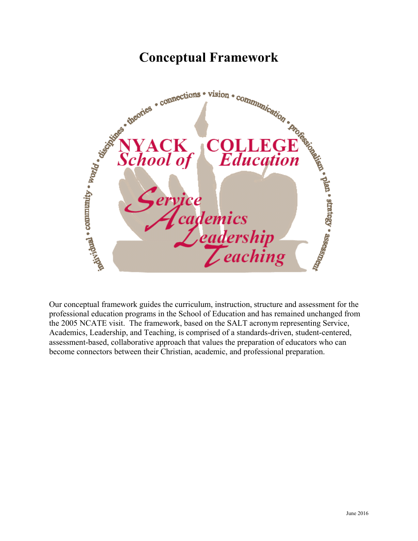

Our conceptual framework guides the curriculum, instruction, structure and assessment for the professional education programs in the School of Education and has remained unchanged from the 2005 NCATE visit. The framework, based on the SALT acronym representing Service, Academics, Leadership, and Teaching, is comprised of a standards-driven, student-centered, assessment-based, collaborative approach that values the preparation of educators who can become connectors between their Christian, academic, and professional preparation.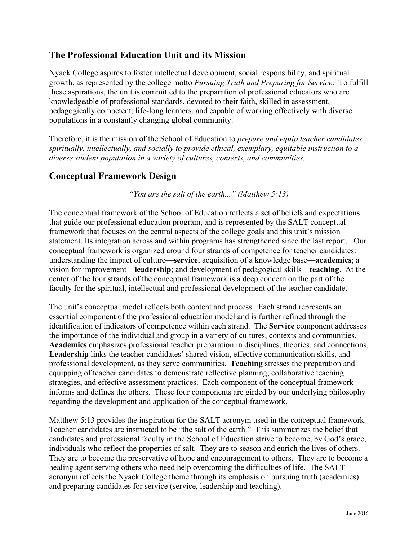# **The Professional Education Unit and its Mission**

Nyack College aspires to foster intellectual development, social responsibility, and spiritual growth, as represented by the college motto *Pursuing Truth and Preparing for Service*. To fulfill these aspirations, the unit is committed to the preparation of professional educators who are knowledgeable of professional standards, devoted to their faith, skilled in assessment, pedagogically competent, life-long learners, and capable of working effectively with diverse populations in a constantly changing global community.

Therefore, it is the mission of the School of Education to *prepare and equip teacher candidates spiritually, intellectually, and socially to provide ethical, exemplary, equitable instruction to a diverse student population in a variety of cultures, contexts, and communities.*

# **Conceptual Framework Design**

*"You are the salt of the earth..." (Matthew 5:13)*

The conceptual framework of the School of Education reflects a set of beliefs and expectations that guide our professional education program, and is represented by the SALT conceptual framework that focuses on the central aspects of the college goals and this unit's mission statement. Its integration across and within programs has strengthened since the last report. Our conceptual framework is organized around four strands of competence for teacher candidates: understanding the impact of culture—**service**; acquisition of a knowledge base—**academics**; a vision for improvement—**leadership**; and development of pedagogical skills—**teaching**. At the center of the four strands of the conceptual framework is a deep concern on the part of the faculty for the spiritual, intellectual and professional development of the teacher candidate.

The unit's conceptual model reflects both content and process. Each strand represents an essential component of the professional education model and is further refined through the identification of indicators of competence within each strand. The **Service** component addresses the importance of the individual and group in a variety of cultures, contexts and communities. **Academics** emphasizes professional teacher preparation in disciplines, theories, and connections. **Leadership** links the teacher candidates' shared vision, effective communication skills, and professional development, as they serve communities. **Teaching** stresses the preparation and equipping of teacher candidates to demonstrate reflective planning, collaborative teaching strategies, and effective assessment practices. Each component of the conceptual framework informs and defines the others. These four components are girded by our underlying philosophy regarding the development and application of the conceptual framework.

Matthew 5:13 provides the inspiration for the SALT acronym used in the conceptual framework. Teacher candidates are instructed to be "the salt of the earth." This summarizes the belief that candidates and professional faculty in the School of Education strive to become, by God's grace, individuals who reflect the properties of salt. They are to season and enrich the lives of others. They are to become the preservative of hope and encouragement to others. They are to become a healing agent serving others who need help overcoming the difficulties of life. The SALT acronym reflects the Nyack College theme through its emphasis on pursuing truth (academics) and preparing candidates for service (service, leadership and teaching).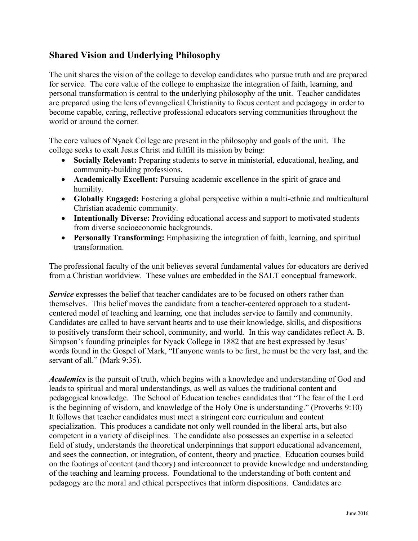# **Shared Vision and Underlying Philosophy**

The unit shares the vision of the college to develop candidates who pursue truth and are prepared for service. The core value of the college to emphasize the integration of faith, learning, and personal transformation is central to the underlying philosophy of the unit. Teacher candidates are prepared using the lens of evangelical Christianity to focus content and pedagogy in order to become capable, caring, reflective professional educators serving communities throughout the world or around the corner.

The core values of Nyack College are present in the philosophy and goals of the unit. The college seeks to exalt Jesus Christ and fulfill its mission by being:

- **Socially Relevant:** Preparing students to serve in ministerial, educational, healing, and community-building professions.
- **Academically Excellent:** Pursuing academic excellence in the spirit of grace and humility.
- **Globally Engaged:** Fostering a global perspective within a multi-ethnic and multicultural Christian academic community.
- **Intentionally Diverse:** Providing educational access and support to motivated students from diverse socioeconomic backgrounds.
- **Personally Transforming:** Emphasizing the integration of faith, learning, and spiritual transformation.

The professional faculty of the unit believes several fundamental values for educators are derived from a Christian worldview. These values are embedded in the SALT conceptual framework.

*Service* expresses the belief that teacher candidates are to be focused on others rather than themselves. This belief moves the candidate from a teacher-centered approach to a studentcentered model of teaching and learning, one that includes service to family and community. Candidates are called to have servant hearts and to use their knowledge, skills, and dispositions to positively transform their school, community, and world. In this way candidates reflect A. B. Simpson's founding principles for Nyack College in 1882 that are best expressed by Jesus' words found in the Gospel of Mark, "If anyone wants to be first, he must be the very last, and the servant of all." (Mark 9:35).

*Academics* is the pursuit of truth, which begins with a knowledge and understanding of God and leads to spiritual and moral understandings, as well as values the traditional content and pedagogical knowledge. The School of Education teaches candidates that "The fear of the Lord is the beginning of wisdom, and knowledge of the Holy One is understanding." (Proverbs 9:10) It follows that teacher candidates must meet a stringent core curriculum and content specialization. This produces a candidate not only well rounded in the liberal arts, but also competent in a variety of disciplines. The candidate also possesses an expertise in a selected field of study, understands the theoretical underpinnings that support educational advancement, and sees the connection, or integration, of content, theory and practice. Education courses build on the footings of content (and theory) and interconnect to provide knowledge and understanding of the teaching and learning process. Foundational to the understanding of both content and pedagogy are the moral and ethical perspectives that inform dispositions. Candidates are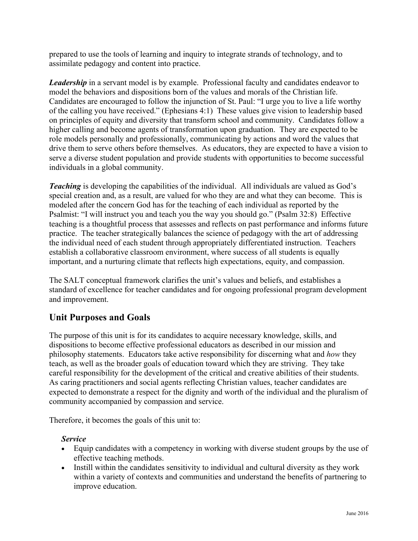prepared to use the tools of learning and inquiry to integrate strands of technology, and to assimilate pedagogy and content into practice.

**Leadership** in a servant model is by example. Professional faculty and candidates endeavor to model the behaviors and dispositions born of the values and morals of the Christian life. Candidates are encouraged to follow the injunction of St. Paul: "I urge you to live a life worthy of the calling you have received." (Ephesians 4:1) These values give vision to leadership based on principles of equity and diversity that transform school and community. Candidates follow a higher calling and become agents of transformation upon graduation. They are expected to be role models personally and professionally, communicating by actions and word the values that drive them to serve others before themselves. As educators, they are expected to have a vision to serve a diverse student population and provide students with opportunities to become successful individuals in a global community.

**Teaching** is developing the capabilities of the individual. All individuals are valued as God's special creation and, as a result, are valued for who they are and what they can become. This is modeled after the concern God has for the teaching of each individual as reported by the Psalmist: "I will instruct you and teach you the way you should go." (Psalm 32:8) Effective teaching is a thoughtful process that assesses and reflects on past performance and informs future practice. The teacher strategically balances the science of pedagogy with the art of addressing the individual need of each student through appropriately differentiated instruction. Teachers establish a collaborative classroom environment, where success of all students is equally important, and a nurturing climate that reflects high expectations, equity, and compassion.

The SALT conceptual framework clarifies the unit's values and beliefs, and establishes a standard of excellence for teacher candidates and for ongoing professional program development and improvement.

# **Unit Purposes and Goals**

The purpose of this unit is for its candidates to acquire necessary knowledge, skills, and dispositions to become effective professional educators as described in our mission and philosophy statements. Educators take active responsibility for discerning what and *how* they teach, as well as the broader goals of education toward which they are striving. They take careful responsibility for the development of the critical and creative abilities of their students. As caring practitioners and social agents reflecting Christian values, teacher candidates are expected to demonstrate a respect for the dignity and worth of the individual and the pluralism of community accompanied by compassion and service.

Therefore, it becomes the goals of this unit to:

# *Service*

- Equip candidates with a competency in working with diverse student groups by the use of effective teaching methods.
- Instill within the candidates sensitivity to individual and cultural diversity as they work within a variety of contexts and communities and understand the benefits of partnering to improve education.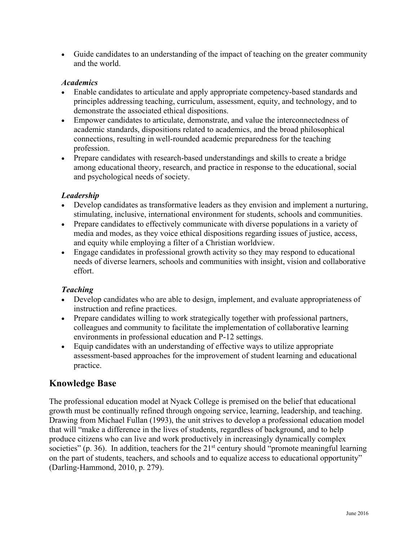• Guide candidates to an understanding of the impact of teaching on the greater community and the world.

## *Academics*

- Enable candidates to articulate and apply appropriate competency-based standards and principles addressing teaching, curriculum, assessment, equity, and technology, and to demonstrate the associated ethical dispositions.
- Empower candidates to articulate, demonstrate, and value the interconnectedness of academic standards, dispositions related to academics, and the broad philosophical connections, resulting in well-rounded academic preparedness for the teaching profession.
- Prepare candidates with research-based understandings and skills to create a bridge among educational theory, research, and practice in response to the educational, social and psychological needs of society.

## *Leadership*

- Develop candidates as transformative leaders as they envision and implement a nurturing, stimulating, inclusive, international environment for students, schools and communities.
- Prepare candidates to effectively communicate with diverse populations in a variety of media and modes, as they voice ethical dispositions regarding issues of justice, access, and equity while employing a filter of a Christian worldview.
- Engage candidates in professional growth activity so they may respond to educational needs of diverse learners, schools and communities with insight, vision and collaborative effort.

# *Teaching*

- Develop candidates who are able to design, implement, and evaluate appropriateness of instruction and refine practices.
- Prepare candidates willing to work strategically together with professional partners, colleagues and community to facilitate the implementation of collaborative learning environments in professional education and P-12 settings.
- Equip candidates with an understanding of effective ways to utilize appropriate assessment-based approaches for the improvement of student learning and educational practice.

# **Knowledge Base**

The professional education model at Nyack College is premised on the belief that educational growth must be continually refined through ongoing service, learning, leadership, and teaching. Drawing from Michael Fullan (1993), the unit strives to develop a professional education model that will "make a difference in the lives of students, regardless of background, and to help produce citizens who can live and work productively in increasingly dynamically complex societies" (p. 36). In addition, teachers for the  $21<sup>st</sup>$  century should "promote meaningful learning on the part of students, teachers, and schools and to equalize access to educational opportunity" (Darling-Hammond, 2010, p. 279).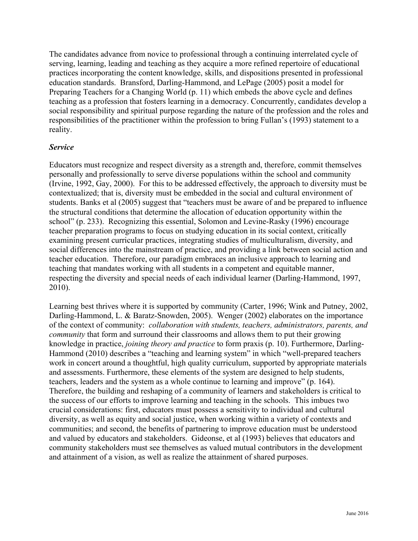The candidates advance from novice to professional through a continuing interrelated cycle of serving, learning, leading and teaching as they acquire a more refined repertoire of educational practices incorporating the content knowledge, skills, and dispositions presented in professional education standards. Bransford, Darling-Hammond, and LePage (2005) posit a model for Preparing Teachers for a Changing World (p. 11) which embeds the above cycle and defines teaching as a profession that fosters learning in a democracy. Concurrently, candidates develop a social responsibility and spiritual purpose regarding the nature of the profession and the roles and responsibilities of the practitioner within the profession to bring Fullan's (1993) statement to a reality.

## *Service*

Educators must recognize and respect diversity as a strength and, therefore, commit themselves personally and professionally to serve diverse populations within the school and community (Irvine, 1992, Gay, 2000). For this to be addressed effectively, the approach to diversity must be contextualized; that is, diversity must be embedded in the social and cultural environment of students. Banks et al (2005) suggest that "teachers must be aware of and be prepared to influence the structural conditions that determine the allocation of education opportunity within the school" (p. 233). Recognizing this essential, Solomon and Levine-Rasky (1996) encourage teacher preparation programs to focus on studying education in its social context, critically examining present curricular practices, integrating studies of multiculturalism, diversity, and social differences into the mainstream of practice, and providing a link between social action and teacher education. Therefore, our paradigm embraces an inclusive approach to learning and teaching that mandates working with all students in a competent and equitable manner, respecting the diversity and special needs of each individual learner (Darling-Hammond, 1997, 2010).

Learning best thrives where it is supported by community (Carter, 1996; Wink and Putney, 2002, Darling-Hammond, L. & Baratz-Snowden, 2005). Wenger (2002) elaborates on the importance of the context of community: *collaboration with students, teachers, administrators, parents, and community* that form and surround their classrooms and allows them to put their growing knowledge in practice, *joining theory and practice* to form praxis (p. 10). Furthermore, Darling-Hammond (2010) describes a "teaching and learning system" in which "well-prepared teachers work in concert around a thoughtful, high quality curriculum, supported by appropriate materials and assessments. Furthermore, these elements of the system are designed to help students, teachers, leaders and the system as a whole continue to learning and improve" (p. 164). Therefore, the building and reshaping of a community of learners and stakeholders is critical to the success of our efforts to improve learning and teaching in the schools. This imbues two crucial considerations: first, educators must possess a sensitivity to individual and cultural diversity, as well as equity and social justice, when working within a variety of contexts and communities; and second, the benefits of partnering to improve education must be understood and valued by educators and stakeholders. Gideonse, et al (1993) believes that educators and community stakeholders must see themselves as valued mutual contributors in the development and attainment of a vision, as well as realize the attainment of shared purposes.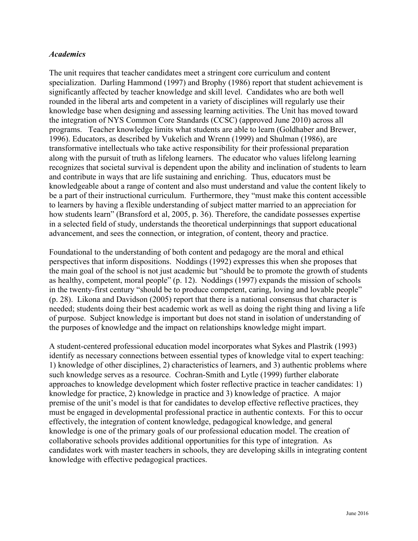#### *Academics*

The unit requires that teacher candidates meet a stringent core curriculum and content specialization. Darling Hammond (1997) and Brophy (1986) report that student achievement is significantly affected by teacher knowledge and skill level. Candidates who are both well rounded in the liberal arts and competent in a variety of disciplines will regularly use their knowledge base when designing and assessing learning activities. The Unit has moved toward the integration of NYS Common Core Standards (CCSC) (approved June 2010) across all programs. Teacher knowledge limits what students are able to learn (Goldhaber and Brewer, 1996). Educators, as described by Vukelich and Wrenn (1999) and Shulman (1986), are transformative intellectuals who take active responsibility for their professional preparation along with the pursuit of truth as lifelong learners. The educator who values lifelong learning recognizes that societal survival is dependent upon the ability and inclination of students to learn and contribute in ways that are life sustaining and enriching. Thus, educators must be knowledgeable about a range of content and also must understand and value the content likely to be a part of their instructional curriculum. Furthermore, they "must make this content accessible to learners by having a flexible understanding of subject matter married to an appreciation for how students learn" (Bransford et al, 2005, p. 36). Therefore, the candidate possesses expertise in a selected field of study, understands the theoretical underpinnings that support educational advancement, and sees the connection, or integration, of content, theory and practice.

Foundational to the understanding of both content and pedagogy are the moral and ethical perspectives that inform dispositions. Noddings (1992) expresses this when she proposes that the main goal of the school is not just academic but "should be to promote the growth of students as healthy, competent, moral people" (p. 12). Noddings (1997) expands the mission of schools in the twenty-first century "should be to produce competent, caring, loving and lovable people" (p. 28). Likona and Davidson (2005) report that there is a national consensus that character is needed; students doing their best academic work as well as doing the right thing and living a life of purpose. Subject knowledge is important but does not stand in isolation of understanding of the purposes of knowledge and the impact on relationships knowledge might impart.

A student-centered professional education model incorporates what Sykes and Plastrik (1993) identify as necessary connections between essential types of knowledge vital to expert teaching: 1) knowledge of other disciplines, 2) characteristics of learners, and 3) authentic problems where such knowledge serves as a resource. Cochran-Smith and Lytle (1999) further elaborate approaches to knowledge development which foster reflective practice in teacher candidates: 1) knowledge for practice, 2) knowledge in practice and 3) knowledge of practice. A major premise of the unit's model is that for candidates to develop effective reflective practices, they must be engaged in developmental professional practice in authentic contexts. For this to occur effectively, the integration of content knowledge, pedagogical knowledge, and general knowledge is one of the primary goals of our professional education model. The creation of collaborative schools provides additional opportunities for this type of integration. As candidates work with master teachers in schools, they are developing skills in integrating content knowledge with effective pedagogical practices.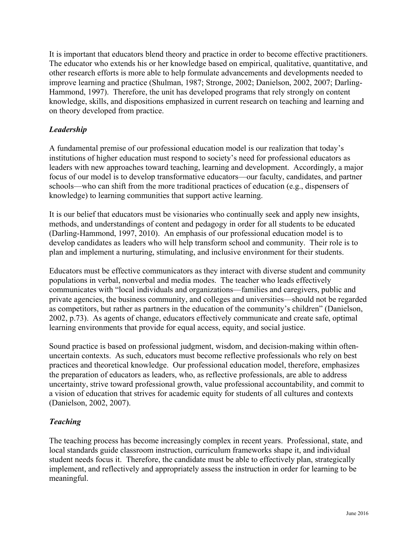It is important that educators blend theory and practice in order to become effective practitioners. The educator who extends his or her knowledge based on empirical, qualitative, quantitative, and other research efforts is more able to help formulate advancements and developments needed to improve learning and practice (Shulman, 1987; Stronge, 2002; Danielson, 2002, 2007; Darling-Hammond, 1997). Therefore, the unit has developed programs that rely strongly on content knowledge, skills, and dispositions emphasized in current research on teaching and learning and on theory developed from practice.

# *Leadership*

A fundamental premise of our professional education model is our realization that today's institutions of higher education must respond to society's need for professional educators as leaders with new approaches toward teaching, learning and development. Accordingly, a major focus of our model is to develop transformative educators—our faculty, candidates, and partner schools—who can shift from the more traditional practices of education (e.g., dispensers of knowledge) to learning communities that support active learning.

It is our belief that educators must be visionaries who continually seek and apply new insights, methods, and understandings of content and pedagogy in order for all students to be educated (Darling-Hammond, 1997, 2010). An emphasis of our professional education model is to develop candidates as leaders who will help transform school and community. Their role is to plan and implement a nurturing, stimulating, and inclusive environment for their students.

Educators must be effective communicators as they interact with diverse student and community populations in verbal, nonverbal and media modes. The teacher who leads effectively communicates with "local individuals and organizations—families and caregivers, public and private agencies, the business community, and colleges and universities—should not be regarded as competitors, but rather as partners in the education of the community's children" (Danielson, 2002, p.73). As agents of change, educators effectively communicate and create safe, optimal learning environments that provide for equal access, equity, and social justice.

Sound practice is based on professional judgment, wisdom, and decision-making within oftenuncertain contexts. As such, educators must become reflective professionals who rely on best practices and theoretical knowledge. Our professional education model, therefore, emphasizes the preparation of educators as leaders, who, as reflective professionals, are able to address uncertainty, strive toward professional growth, value professional accountability, and commit to a vision of education that strives for academic equity for students of all cultures and contexts (Danielson, 2002, 2007).

# *Teaching*

The teaching process has become increasingly complex in recent years. Professional, state, and local standards guide classroom instruction, curriculum frameworks shape it, and individual student needs focus it. Therefore, the candidate must be able to effectively plan, strategically implement, and reflectively and appropriately assess the instruction in order for learning to be meaningful.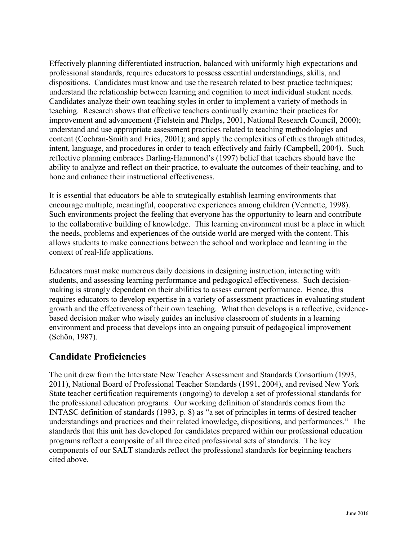Effectively planning differentiated instruction, balanced with uniformly high expectations and professional standards, requires educators to possess essential understandings, skills, and dispositions. Candidates must know and use the research related to best practice techniques; understand the relationship between learning and cognition to meet individual student needs. Candidates analyze their own teaching styles in order to implement a variety of methods in teaching. Research shows that effective teachers continually examine their practices for improvement and advancement (Fielstein and Phelps, 2001, National Research Council, 2000); understand and use appropriate assessment practices related to teaching methodologies and content (Cochran-Smith and Fries, 2001); and apply the complexities of ethics through attitudes, intent, language, and procedures in order to teach effectively and fairly (Campbell, 2004). Such reflective planning embraces Darling-Hammond's (1997) belief that teachers should have the ability to analyze and reflect on their practice, to evaluate the outcomes of their teaching, and to hone and enhance their instructional effectiveness.

It is essential that educators be able to strategically establish learning environments that encourage multiple, meaningful, cooperative experiences among children (Vermette, 1998). Such environments project the feeling that everyone has the opportunity to learn and contribute to the collaborative building of knowledge. This learning environment must be a place in which the needs, problems and experiences of the outside world are merged with the content. This allows students to make connections between the school and workplace and learning in the context of real-life applications.

Educators must make numerous daily decisions in designing instruction, interacting with students, and assessing learning performance and pedagogical effectiveness. Such decisionmaking is strongly dependent on their abilities to assess current performance. Hence, this requires educators to develop expertise in a variety of assessment practices in evaluating student growth and the effectiveness of their own teaching. What then develops is a reflective, evidencebased decision maker who wisely guides an inclusive classroom of students in a learning environment and process that develops into an ongoing pursuit of pedagogical improvement (Schön, 1987).

# **Candidate Proficiencies**

The unit drew from the Interstate New Teacher Assessment and Standards Consortium (1993, 2011), National Board of Professional Teacher Standards (1991, 2004), and revised New York State teacher certification requirements (ongoing) to develop a set of professional standards for the professional education programs. Our working definition of standards comes from the INTASC definition of standards (1993, p. 8) as "a set of principles in terms of desired teacher understandings and practices and their related knowledge, dispositions, and performances." The standards that this unit has developed for candidates prepared within our professional education programs reflect a composite of all three cited professional sets of standards. The key components of our SALT standards reflect the professional standards for beginning teachers cited above.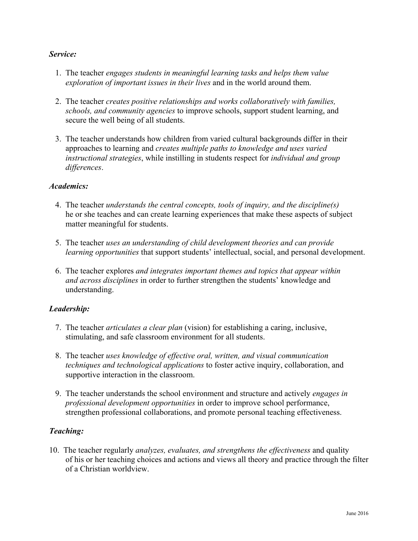## *Service:*

- 1. The teacher *engages students in meaningful learning tasks and helps them value exploration of important issues in their lives* and in the world around them.
- 2. The teacher *creates positive relationships and works collaboratively with families, schools, and community agencies* to improve schools, support student learning, and secure the well being of all students.
- 3. The teacher understands how children from varied cultural backgrounds differ in their approaches to learning and *creates multiple paths to knowledge and uses varied instructional strategies*, while instilling in students respect for *individual and group differences*.

#### *Academics:*

- 4. The teacher *understands the central concepts, tools of inquiry, and the discipline(s)* he or she teaches and can create learning experiences that make these aspects of subject matter meaningful for students.
- 5. The teacher *uses an understanding of child development theories and can provide learning opportunities* that support students' intellectual, social, and personal development.
- 6. The teacher explores *and integrates important themes and topics that appear within and across disciplines* in order to further strengthen the students' knowledge and understanding.

#### *Leadership:*

- 7. The teacher *articulates a clear plan* (vision) for establishing a caring, inclusive, stimulating, and safe classroom environment for all students.
- 8. The teacher *uses knowledge of effective oral, written, and visual communication techniques and technological applications* to foster active inquiry, collaboration, and supportive interaction in the classroom.
- 9. The teacher understands the school environment and structure and actively *engages in professional development opportunities* in order to improve school performance, strengthen professional collaborations, and promote personal teaching effectiveness.

#### *Teaching:*

10. The teacher regularly *analyzes, evaluates, and strengthens the effectiveness* and quality of his or her teaching choices and actions and views all theory and practice through the filter of a Christian worldview.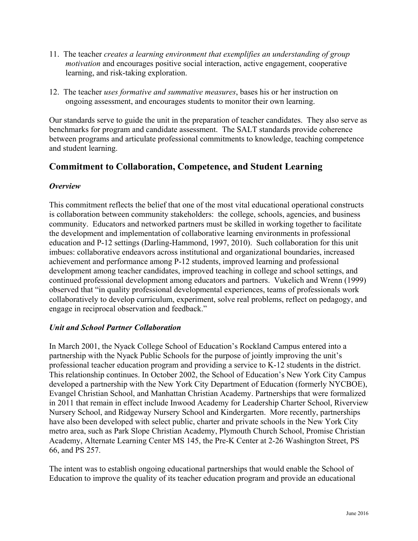- 11. The teacher *creates a learning environment that exemplifies an understanding of group motivation* and encourages positive social interaction, active engagement, cooperative learning, and risk-taking exploration.
- 12. The teacher *uses formative and summative measures*, bases his or her instruction on ongoing assessment, and encourages students to monitor their own learning.

Our standards serve to guide the unit in the preparation of teacher candidates. They also serve as benchmarks for program and candidate assessment. The SALT standards provide coherence between programs and articulate professional commitments to knowledge, teaching competence and student learning.

# **Commitment to Collaboration, Competence, and Student Learning**

## *Overview*

This commitment reflects the belief that one of the most vital educational operational constructs is collaboration between community stakeholders: the college, schools, agencies, and business community. Educators and networked partners must be skilled in working together to facilitate the development and implementation of collaborative learning environments in professional education and P-12 settings (Darling-Hammond, 1997, 2010). Such collaboration for this unit imbues: collaborative endeavors across institutional and organizational boundaries, increased achievement and performance among P-12 students, improved learning and professional development among teacher candidates, improved teaching in college and school settings, and continued professional development among educators and partners. Vukelich and Wrenn (1999) observed that "in quality professional developmental experiences, teams of professionals work collaboratively to develop curriculum, experiment, solve real problems, reflect on pedagogy, and engage in reciprocal observation and feedback."

#### *Unit and School Partner Collaboration*

In March 2001, the Nyack College School of Education's Rockland Campus entered into a partnership with the Nyack Public Schools for the purpose of jointly improving the unit's professional teacher education program and providing a service to K-12 students in the district. This relationship continues. In October 2002, the School of Education's New York City Campus developed a partnership with the New York City Department of Education (formerly NYCBOE), Evangel Christian School, and Manhattan Christian Academy. Partnerships that were formalized in 2011 that remain in effect include Inwood Academy for Leadership Charter School, Riverview Nursery School, and Ridgeway Nursery School and Kindergarten. More recently, partnerships have also been developed with select public, charter and private schools in the New York City metro area, such as Park Slope Christian Academy, Plymouth Church School, Promise Christian Academy, Alternate Learning Center MS 145, the Pre-K Center at 2-26 Washington Street, PS 66, and PS 257.

The intent was to establish ongoing educational partnerships that would enable the School of Education to improve the quality of its teacher education program and provide an educational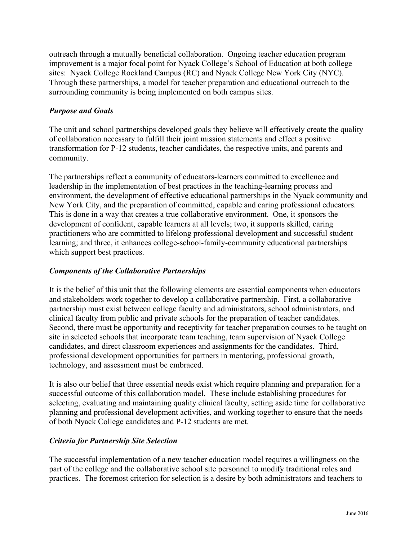outreach through a mutually beneficial collaboration. Ongoing teacher education program improvement is a major focal point for Nyack College's School of Education at both college sites: Nyack College Rockland Campus (RC) and Nyack College New York City (NYC). Through these partnerships, a model for teacher preparation and educational outreach to the surrounding community is being implemented on both campus sites.

# *Purpose and Goals*

The unit and school partnerships developed goals they believe will effectively create the quality of collaboration necessary to fulfill their joint mission statements and effect a positive transformation for P-12 students, teacher candidates, the respective units, and parents and community.

The partnerships reflect a community of educators-learners committed to excellence and leadership in the implementation of best practices in the teaching-learning process and environment, the development of effective educational partnerships in the Nyack community and New York City, and the preparation of committed, capable and caring professional educators. This is done in a way that creates a true collaborative environment. One, it sponsors the development of confident, capable learners at all levels; two, it supports skilled, caring practitioners who are committed to lifelong professional development and successful student learning; and three, it enhances college-school-family-community educational partnerships which support best practices.

#### *Components of the Collaborative Partnerships*

It is the belief of this unit that the following elements are essential components when educators and stakeholders work together to develop a collaborative partnership. First, a collaborative partnership must exist between college faculty and administrators, school administrators, and clinical faculty from public and private schools for the preparation of teacher candidates. Second, there must be opportunity and receptivity for teacher preparation courses to be taught on site in selected schools that incorporate team teaching, team supervision of Nyack College candidates, and direct classroom experiences and assignments for the candidates. Third, professional development opportunities for partners in mentoring, professional growth, technology, and assessment must be embraced.

It is also our belief that three essential needs exist which require planning and preparation for a successful outcome of this collaboration model. These include establishing procedures for selecting, evaluating and maintaining quality clinical faculty, setting aside time for collaborative planning and professional development activities, and working together to ensure that the needs of both Nyack College candidates and P-12 students are met.

#### *Criteria for Partnership Site Selection*

The successful implementation of a new teacher education model requires a willingness on the part of the college and the collaborative school site personnel to modify traditional roles and practices. The foremost criterion for selection is a desire by both administrators and teachers to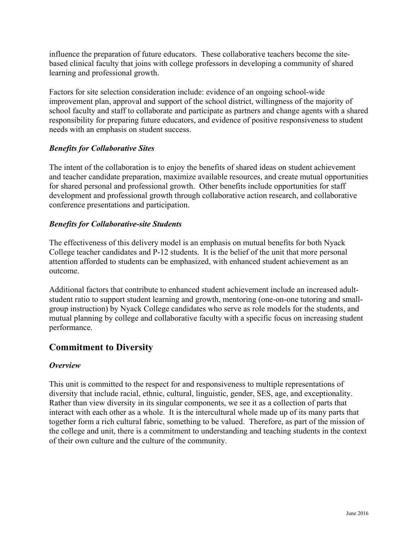influence the preparation of future educators. These collaborative teachers become the sitebased clinical faculty that joins with college professors in developing a community of shared learning and professional growth.

Factors for site selection consideration include: evidence of an ongoing school-wide improvement plan, approval and support of the school district, willingness of the majority of school faculty and staff to collaborate and participate as partners and change agents with a shared responsibility for preparing future educators, and evidence of positive responsiveness to student needs with an emphasis on student success.

# *Benefits for Collaborative Sites*

The intent of the collaboration is to enjoy the benefits of shared ideas on student achievement and teacher candidate preparation, maximize available resources, and create mutual opportunities for shared personal and professional growth. Other benefits include opportunities for staff development and professional growth through collaborative action research, and collaborative conference presentations and participation.

# *Benefits for Collaborative-site Students*

The effectiveness of this delivery model is an emphasis on mutual benefits for both Nyack College teacher candidates and P-12 students. It is the belief of the unit that more personal attention afforded to students can be emphasized, with enhanced student achievement as an outcome.

Additional factors that contribute to enhanced student achievement include an increased adultstudent ratio to support student learning and growth, mentoring (one-on-one tutoring and smallgroup instruction) by Nyack College candidates who serve as role models for the students, and mutual planning by college and collaborative faculty with a specific focus on increasing student performance.

# **Commitment to Diversity**

#### *Overview*

This unit is committed to the respect for and responsiveness to multiple representations of diversity that include racial, ethnic, cultural, linguistic, gender, SES, age, and exceptionality. Rather than view diversity in its singular components, we see it as a collection of parts that interact with each other as a whole. It is the intercultural whole made up of its many parts that together form a rich cultural fabric, something to be valued. Therefore, as part of the mission of the college and unit, there is a commitment to understanding and teaching students in the context of their own culture and the culture of the community.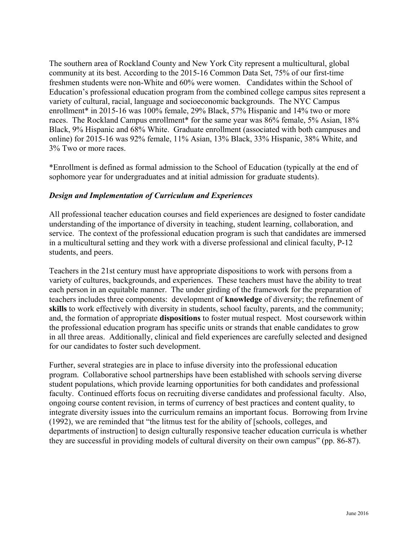The southern area of Rockland County and New York City represent a multicultural, global community at its best. According to the 2015-16 Common Data Set, 75% of our first-time freshmen students were non-White and 60% were women. Candidates within the School of Education's professional education program from the combined college campus sites represent a variety of cultural, racial, language and socioeconomic backgrounds. The NYC Campus enrollment<sup>\*</sup> in 2015-16 was 100% female, 29% Black, 57% Hispanic and 14% two or more races. The Rockland Campus enrollment<sup>\*</sup> for the same year was 86% female, 5% Asian, 18% Black, 9% Hispanic and 68% White. Graduate enrollment (associated with both campuses and online) for 2015-16 was 92% female, 11% Asian, 13% Black, 33% Hispanic, 38% White, and 3% Two or more races.

\*Enrollment is defined as formal admission to the School of Education (typically at the end of sophomore year for undergraduates and at initial admission for graduate students).

## *Design and Implementation of Curriculum and Experiences*

All professional teacher education courses and field experiences are designed to foster candidate understanding of the importance of diversity in teaching, student learning, collaboration, and service. The context of the professional education program is such that candidates are immersed in a multicultural setting and they work with a diverse professional and clinical faculty, P-12 students, and peers.

Teachers in the 21st century must have appropriate dispositions to work with persons from a variety of cultures, backgrounds, and experiences. These teachers must have the ability to treat each person in an equitable manner. The under girding of the framework for the preparation of teachers includes three components: development of **knowledge** of diversity; the refinement of **skills** to work effectively with diversity in students, school faculty, parents, and the community; and, the formation of appropriate **dispositions** to foster mutual respect. Most coursework within the professional education program has specific units or strands that enable candidates to grow in all three areas. Additionally, clinical and field experiences are carefully selected and designed for our candidates to foster such development.

Further, several strategies are in place to infuse diversity into the professional education program. Collaborative school partnerships have been established with schools serving diverse student populations, which provide learning opportunities for both candidates and professional faculty. Continued efforts focus on recruiting diverse candidates and professional faculty. Also, ongoing course content revision, in terms of currency of best practices and content quality, to integrate diversity issues into the curriculum remains an important focus. Borrowing from Irvine (1992), we are reminded that "the litmus test for the ability of [schools, colleges, and departments of instruction] to design culturally responsive teacher education curricula is whether they are successful in providing models of cultural diversity on their own campus" (pp. 86-87).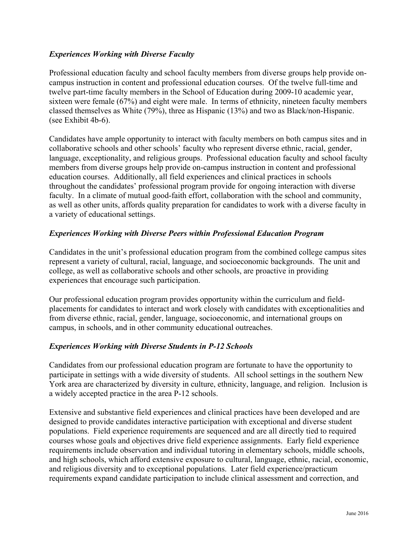# *Experiences Working with Diverse Faculty*

Professional education faculty and school faculty members from diverse groups help provide oncampus instruction in content and professional education courses. Of the twelve full-time and twelve part-time faculty members in the School of Education during 2009-10 academic year, sixteen were female (67%) and eight were male. In terms of ethnicity, nineteen faculty members classed themselves as White (79%), three as Hispanic (13%) and two as Black/non-Hispanic. (see Exhibit 4b-6).

Candidates have ample opportunity to interact with faculty members on both campus sites and in collaborative schools and other schools' faculty who represent diverse ethnic, racial, gender, language, exceptionality, and religious groups. Professional education faculty and school faculty members from diverse groups help provide on-campus instruction in content and professional education courses. Additionally, all field experiences and clinical practices in schools throughout the candidates' professional program provide for ongoing interaction with diverse faculty. In a climate of mutual good-faith effort, collaboration with the school and community, as well as other units, affords quality preparation for candidates to work with a diverse faculty in a variety of educational settings.

# *Experiences Working with Diverse Peers within Professional Education Program*

Candidates in the unit's professional education program from the combined college campus sites represent a variety of cultural, racial, language, and socioeconomic backgrounds. The unit and college, as well as collaborative schools and other schools, are proactive in providing experiences that encourage such participation.

Our professional education program provides opportunity within the curriculum and fieldplacements for candidates to interact and work closely with candidates with exceptionalities and from diverse ethnic, racial, gender, language, socioeconomic, and international groups on campus, in schools, and in other community educational outreaches.

# *Experiences Working with Diverse Students in P-12 Schools*

Candidates from our professional education program are fortunate to have the opportunity to participate in settings with a wide diversity of students. All school settings in the southern New York area are characterized by diversity in culture, ethnicity, language, and religion. Inclusion is a widely accepted practice in the area P-12 schools.

Extensive and substantive field experiences and clinical practices have been developed and are designed to provide candidates interactive participation with exceptional and diverse student populations. Field experience requirements are sequenced and are all directly tied to required courses whose goals and objectives drive field experience assignments. Early field experience requirements include observation and individual tutoring in elementary schools, middle schools, and high schools, which afford extensive exposure to cultural, language, ethnic, racial, economic, and religious diversity and to exceptional populations. Later field experience/practicum requirements expand candidate participation to include clinical assessment and correction, and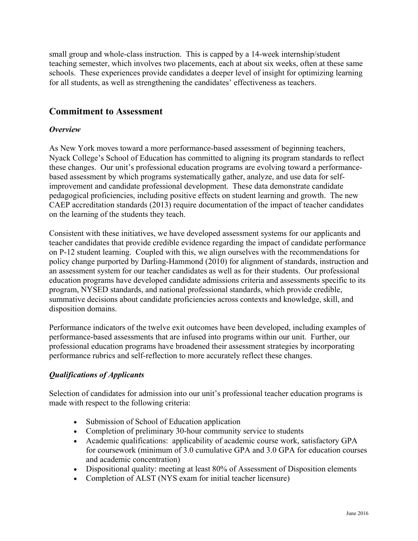small group and whole-class instruction. This is capped by a 14-week internship/student teaching semester, which involves two placements, each at about six weeks, often at these same schools. These experiences provide candidates a deeper level of insight for optimizing learning for all students, as well as strengthening the candidates' effectiveness as teachers.

# **Commitment to Assessment**

#### *Overview*

As New York moves toward a more performance-based assessment of beginning teachers, Nyack College's School of Education has committed to aligning its program standards to reflect these changes. Our unit's professional education programs are evolving toward a performancebased assessment by which programs systematically gather, analyze, and use data for selfimprovement and candidate professional development. These data demonstrate candidate pedagogical proficiencies, including positive effects on student learning and growth. The new CAEP accreditation standards (2013) require documentation of the impact of teacher candidates on the learning of the students they teach.

Consistent with these initiatives, we have developed assessment systems for our applicants and teacher candidates that provide credible evidence regarding the impact of candidate performance on P-12 student learning. Coupled with this, we align ourselves with the recommendations for policy change purported by Darling-Hammond (2010) for alignment of standards, instruction and an assessment system for our teacher candidates as well as for their students. Our professional education programs have developed candidate admissions criteria and assessments specific to its program, NYSED standards, and national professional standards, which provide credible, summative decisions about candidate proficiencies across contexts and knowledge, skill, and disposition domains.

Performance indicators of the twelve exit outcomes have been developed, including examples of performance-based assessments that are infused into programs within our unit. Further, our professional education programs have broadened their assessment strategies by incorporating performance rubrics and self-reflection to more accurately reflect these changes.

# *Qualifications of Applicants*

Selection of candidates for admission into our unit's professional teacher education programs is made with respect to the following criteria:

- Submission of School of Education application
- Completion of preliminary 30-hour community service to students
- Academic qualifications: applicability of academic course work, satisfactory GPA for coursework (minimum of 3.0 cumulative GPA and 3.0 GPA for education courses and academic concentration)
- Dispositional quality: meeting at least 80% of Assessment of Disposition elements
- Completion of ALST (NYS exam for initial teacher licensure)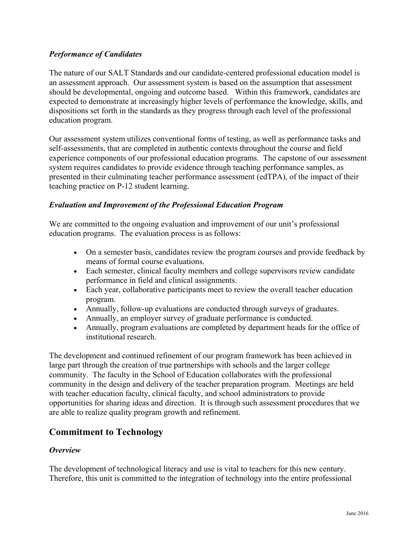# *Performance of Candidates*

The nature of our SALT Standards and our candidate-centered professional education model is an assessment approach. Our assessment system is based on the assumption that assessment should be developmental, ongoing and outcome based. Within this framework, candidates are expected to demonstrate at increasingly higher levels of performance the knowledge, skills, and dispositions set forth in the standards as they progress through each level of the professional education program.

Our assessment system utilizes conventional forms of testing, as well as performance tasks and self-assessments, that are completed in authentic contexts throughout the course and field experience components of our professional education programs. The capstone of our assessment system requires candidates to provide evidence through teaching performance samples, as presented in their culminating teacher performance assessment (edTPA), of the impact of their teaching practice on P-12 student learning.

## *Evaluation and Improvement of the Professional Education Program*

We are committed to the ongoing evaluation and improvement of our unit's professional education programs. The evaluation process is as follows:

- On a semester basis, candidates review the program courses and provide feedback by means of formal course evaluations.
- Each semester, clinical faculty members and college supervisors review candidate performance in field and clinical assignments.
- Each year, collaborative participants meet to review the overall teacher education program.
- Annually, follow-up evaluations are conducted through surveys of graduates.
- Annually, an employer survey of graduate performance is conducted.
- Annually, program evaluations are completed by department heads for the office of institutional research.

The development and continued refinement of our program framework has been achieved in large part through the creation of true partnerships with schools and the larger college community. The faculty in the School of Education collaborates with the professional community in the design and delivery of the teacher preparation program. Meetings are held with teacher education faculty, clinical faculty, and school administrators to provide opportunities for sharing ideas and direction. It is through such assessment procedures that we are able to realize quality program growth and refinement.

# **Commitment to Technology**

#### *Overview*

The development of technological literacy and use is vital to teachers for this new century. Therefore, this unit is committed to the integration of technology into the entire professional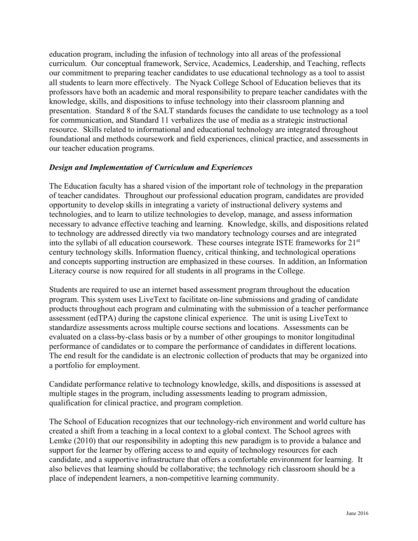education program, including the infusion of technology into all areas of the professional curriculum. Our conceptual framework, Service, Academics, Leadership, and Teaching, reflects our commitment to preparing teacher candidates to use educational technology as a tool to assist all students to learn more effectively. The Nyack College School of Education believes that its professors have both an academic and moral responsibility to prepare teacher candidates with the knowledge, skills, and dispositions to infuse technology into their classroom planning and presentation. Standard 8 of the SALT standards focuses the candidate to use technology as a tool for communication, and Standard 11 verbalizes the use of media as a strategic instructional resource.Skills related to informational and educational technology are integrated throughout foundational and methods coursework and field experiences, clinical practice, and assessments in our teacher education programs.

## *Design and Implementation of Curriculum and Experiences*

The Education faculty has a shared vision of the important role of technology in the preparation of teacher candidates. Throughout our professional education program, candidates are provided opportunity to develop skills in integrating a variety of instructional delivery systems and technologies, and to learn to utilize technologies to develop, manage, and assess information necessary to advance effective teaching and learning. Knowledge, skills, and dispositions related to technology are addressed directly via two mandatory technology courses and are integrated into the syllabi of all education coursework. These courses integrate ISTE frameworks for 21<sup>st</sup> century technology skills. Information fluency, critical thinking, and technological operations and concepts supporting instruction are emphasized in these courses. In addition, an Information Literacy course is now required for all students in all programs in the College.

Students are required to use an internet based assessment program throughout the education program. This system uses LiveText to facilitate on-line submissions and grading of candidate products throughout each program and culminating with the submission of a teacher performance assessment (edTPA) during the capstone clinical experience. The unit is using LiveText to standardize assessments across multiple course sections and locations. Assessments can be evaluated on a class-by-class basis or by a number of other groupings to monitor longitudinal performance of candidates or to compare the performance of candidates in different locations. The end result for the candidate is an electronic collection of products that may be organized into a portfolio for employment.

Candidate performance relative to technology knowledge, skills, and dispositions is assessed at multiple stages in the program, including assessments leading to program admission, qualification for clinical practice, and program completion.

The School of Education recognizes that our technology-rich environment and world culture has created a shift from a teaching in a local context to a global context. The School agrees with Lemke (2010) that our responsibility in adopting this new paradigm is to provide a balance and support for the learner by offering access to and equity of technology resources for each candidate, and a supportive infrastructure that offers a comfortable environment for learning. It also believes that learning should be collaborative; the technology rich classroom should be a place of independent learners, a non-competitive learning community.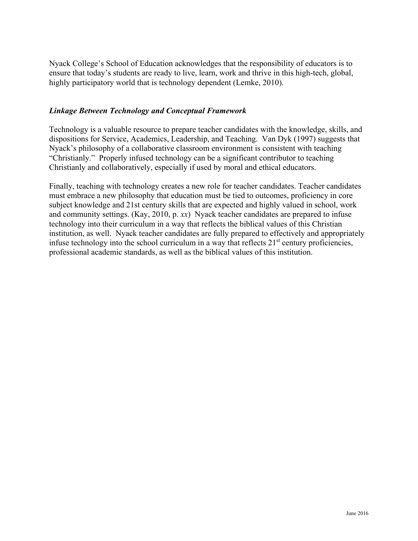Nyack College's School of Education acknowledges that the responsibility of educators is to ensure that today's students are ready to live, learn, work and thrive in this high-tech, global, highly participatory world that is technology dependent (Lemke, 2010).

## *Linkage Between Technology and Conceptual Framework*

Technology is a valuable resource to prepare teacher candidates with the knowledge, skills, and dispositions for Service, Academics, Leadership, and Teaching. Van Dyk (1997) suggests that Nyack's philosophy of a collaborative classroom environment is consistent with teaching "Christianly." Properly infused technology can be a significant contributor to teaching Christianly and collaboratively, especially if used by moral and ethical educators.

Finally, teaching with technology creates a new role for teacher candidates. Teacher candidates must embrace a new philosophy that education must be tied to outcomes, proficiency in core subject knowledge and 21st century skills that are expected and highly valued in school, work and community settings. (Kay, 2010, p. *xx*) Nyack teacher candidates are prepared to infuse technology into their curriculum in a way that reflects the biblical values of this Christian institution, as well. Nyack teacher candidates are fully prepared to effectively and appropriately infuse technology into the school curriculum in a way that reflects  $21<sup>st</sup>$  century proficiencies, professional academic standards, as well as the biblical values of this institution.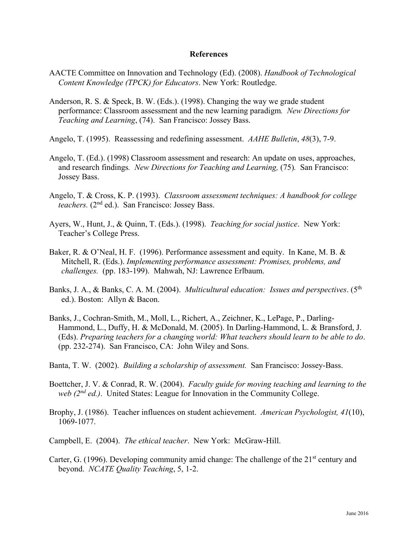#### **References**

- AACTE Committee on Innovation and Technology (Ed). (2008). *Handbook of Technological Content Knowledge (TPCK) for Educators*. New York: Routledge.
- Anderson, R. S. & Speck, B. W. (Eds.). (1998). Changing the way we grade student performance: Classroom assessment and the new learning paradigm*. New Directions for Teaching and Learning*, (74). San Francisco: Jossey Bass.
- Angelo, T. (1995). Reassessing and redefining assessment. *AAHE Bulletin*, *48*(3), 7-9.
- Angelo, T. (Ed.). (1998) Classroom assessment and research: An update on uses, approaches, and research findings*. New Directions for Teaching and Learning,* (75)*.* San Francisco: Jossey Bass.
- Angelo, T. & Cross, K. P. (1993). *Classroom assessment techniques: A handbook for college teachers.* (2nd ed.). San Francisco: Jossey Bass.
- Ayers, W., Hunt, J., & Quinn, T. (Eds.). (1998). *Teaching for social justice*. New York: Teacher's College Press.
- Baker, R. & O'Neal, H. F. (1996). Performance assessment and equity. In Kane, M. B. & Mitchell, R. (Eds.). *Implementing performance assessment: Promises, problems, and challenges.* (pp. 183-199). Mahwah, NJ: Lawrence Erlbaum.
- Banks, J. A., & Banks, C. A. M. (2004). *Multicultural education: Issues and perspectives*. (5th ed.). Boston: Allyn & Bacon.
- Banks, J., Cochran-Smith, M., Moll, L., Richert, A., Zeichner, K., LePage, P., Darling-Hammond, L., Duffy, H. & McDonald, M. (2005). In Darling-Hammond, L. & Bransford, J. (Eds). *Preparing teachers for a changing world: What teachers should learn to be able to do*. (pp. 232-274). San Francisco, CA: John Wiley and Sons.
- Banta, T. W. (2002). *Building a scholarship of assessment.* San Francisco: Jossey-Bass.
- Boettcher, J. V. & Conrad, R. W. (2004). *Faculty guide for moving teaching and learning to the web (2nd ed.)*. United States: League for Innovation in the Community College.
- Brophy, J. (1986). Teacher influences on student achievement. *American Psychologist, 41*(10), 1069-1077.
- Campbell, E. (2004). *The ethical teacher*. New York: McGraw-Hill.
- Carter, G. (1996). Developing community amid change: The challenge of the  $21<sup>st</sup>$  century and beyond. *NCATE Quality Teaching*, 5, 1-2.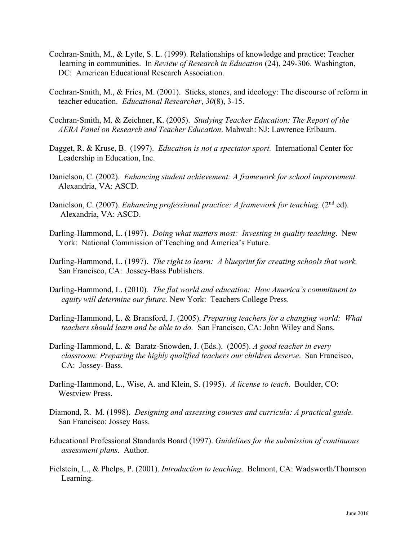- Cochran-Smith, M., & Lytle, S. L. (1999). Relationships of knowledge and practice: Teacher learning in communities. In *Review of Research in Education* (24), 249-306. Washington, DC: American Educational Research Association.
- Cochran-Smith, M., & Fries, M. (2001). Sticks, stones, and ideology: The discourse of reform in teacher education. *Educational Researcher*, *30*(8), 3-15.
- Cochran-Smith, M. & Zeichner, K. (2005). *Studying Teacher Education: The Report of the AERA Panel on Research and Teacher Education*. Mahwah: NJ: Lawrence Erlbaum.
- Dagget, R. & Kruse, B. (1997). *Education is not a spectator sport.* International Center for Leadership in Education, Inc.
- Danielson, C. (2002). *Enhancing student achievement: A framework for school improvement.* Alexandria, VA: ASCD.
- Danielson, C. (2007). *Enhancing professional practice: A framework for teaching.* (2<sup>nd</sup> ed). Alexandria, VA: ASCD.
- Darling-Hammond, L. (1997). *Doing what matters most: Investing in quality teaching*. New York: National Commission of Teaching and America's Future.
- Darling-Hammond, L. (1997). *The right to learn: A blueprint for creating schools that work.* San Francisco, CA: Jossey-Bass Publishers.
- Darling-Hammond, L. (2010)*. The flat world and education: How America's commitment to equity will determine our future.* New York: Teachers College Press.
- Darling-Hammond, L. & Bransford, J. (2005). *Preparing teachers for a changing world: What teachers should learn and be able to do.* San Francisco, CA: John Wiley and Sons.
- Darling-Hammond, L. & Baratz-Snowden, J. (Eds.). (2005). *A good teacher in every classroom: Preparing the highly qualified teachers our children deserve*. San Francisco, CA: Jossey- Bass.
- Darling-Hammond, L., Wise, A. and Klein, S. (1995). *A license to teach*. Boulder, CO: Westview Press.
- Diamond, R. M. (1998). *Designing and assessing courses and curricula: A practical guide.* San Francisco: Jossey Bass.
- Educational Professional Standards Board (1997). *Guidelines for the submission of continuous assessment plans*. Author.
- Fielstein, L., & Phelps, P. (2001). *Introduction to teaching*. Belmont, CA: Wadsworth/Thomson Learning.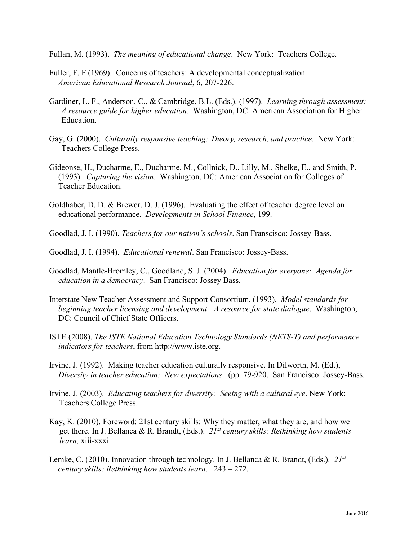Fullan, M. (1993). *The meaning of educational change*. New York: Teachers College.

- Fuller, F. F (1969). Concerns of teachers: A developmental conceptualization. *American Educational Research Journal*, 6, 207-226.
- Gardiner, L. F., Anderson, C., & Cambridge, B.L. (Eds.). (1997). *Learning through assessment: A resource guide for higher education.* Washington, DC: American Association for Higher Education.
- Gay, G. (2000). *Culturally responsive teaching: Theory, research, and practice*. New York: Teachers College Press.
- Gideonse, H., Ducharme, E., Ducharme, M., Collnick, D., Lilly, M., Shelke, E., and Smith, P. (1993). *Capturing the vision*. Washington, DC: American Association for Colleges of Teacher Education.
- Goldhaber, D. D. & Brewer, D. J. (1996). Evaluating the effect of teacher degree level on educational performance. *Developments in School Finance*, 199.
- Goodlad, J. I. (1990). *Teachers for our nation's schools*. San Franscisco: Jossey-Bass.
- Goodlad, J. I. (1994). *Educational renewal*. San Francisco: Jossey-Bass.
- Goodlad, Mantle-Bromley, C., Goodland, S. J. (2004). *Education for everyone: Agenda for education in a democracy*. San Francisco: Jossey Bass.
- Interstate New Teacher Assessment and Support Consortium. (1993). *Model standards for beginning teacher licensing and development: A resource for state dialogue*. Washington, DC: Council of Chief State Officers.
- ISTE (2008). *The ISTE National Education Technology Standards (NETS-T) and performance indicators for teachers*, from http://www.iste.org.
- Irvine, J. (1992). Making teacher education culturally responsive. In Dilworth, M. (Ed.), *Diversity in teacher education: New expectations*. (pp. 79-920. San Francisco: Jossey-Bass.
- Irvine, J. (2003). *Educating teachers for diversity: Seeing with a cultural eye*. New York: Teachers College Press.
- Kay, K. (2010). Foreword: 21st century skills: Why they matter, what they are, and how we get there. In J. Bellanca & R. Brandt, (Eds.). *21st century skills: Rethinking how students learn,* xiii-xxxi.
- Lemke, C. (2010). Innovation through technology. In J. Bellanca & R. Brandt, (Eds.). *21st century skills: Rethinking how students learn,* 243 – 272.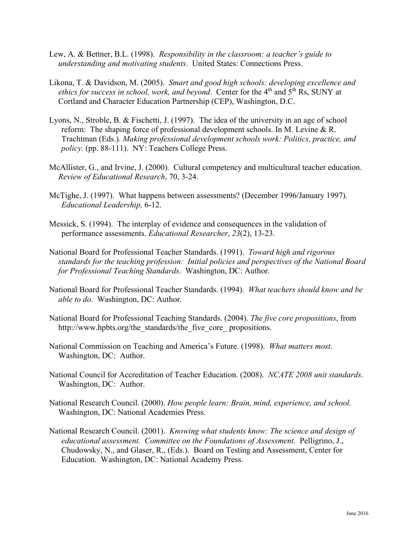- Lew, A. & Bettner, B.L. (1998). *Responsibility in the classroom: a teacher's guide to understanding and motivating students*. United States: Connections Press.
- Likona, T. & Davidson, M. (2005). *Smart and good high schools: developing excellence and*  ethics for success in school, work, and beyond. Center for the 4<sup>th</sup> and 5<sup>th</sup> Rs, SUNY at Cortland and Character Education Partnership (CEP), Washington, D.C.
- Lyons, N., Stroble, B. & Fischetti, J. (1997). The idea of the university in an age of school reform: The shaping force of professional development schools. In M. Levine & R. Trachtman (Eds.). *Making professional development schools work: Politics, practice, and policy.* (pp. 88-111). NY: Teachers College Press.
- McAllister, G., and Irvine, J. (2000). Cultural competency and multicultural teacher education. *Review of Educational Research*, 70, 3-24.
- McTighe, J. (1997). What happens between assessments? (December 1996/January 1997). *Educational Leadership,* 6-12.
- Messick, S. (1994). The interplay of evidence and consequences in the validation of performance assessments. *Educational Researcher*, *23*(2), 13-23.
- National Board for Professional Teacher Standards. (1991). *Toward high and rigorous standards for the teaching profession: Initial policies and perspectives of the National Board for Professional Teaching Standards*. Washington, DC: Author.
- National Board for Professional Teacher Standards. (1994). *What teachers should know and be able to do*. Washington, DC: Author.
- National Board for Professional Teaching Standards. (2004). *The five core propositions*, from http://www.hpbts.org/the\_standards/the\_five\_core\_ propositions.
- National Commission on Teaching and America's Future. (1998). *What matters most*. Washington, DC: Author.
- National Council for Accreditation of Teacher Education. (2008). *NCATE 2008 unit standards*. Washington, DC: Author.
- National Research Council. (2000). *How people learn: Brain, mind, experience, and school.*  Washington, DC: National Academies Press.
- National Research Council. (2001). *Knowing what students know: The science and design of educational assessment. Committee on the Foundations of Assessment.* Pelligrino, J., Chudowsky, N., and Glaser, R., (Eds.). Board on Testing and Assessment, Center for Education. Washington, DC: National Academy Press.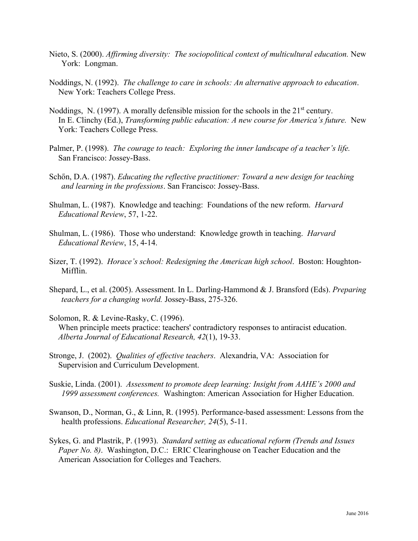- Nieto, S. (2000). *Affirming diversity: The sociopolitical context of multicultural education.* New York: Longman.
- Noddings, N. (1992). *The challenge to care in schools: An alternative approach to education*. New York: Teachers College Press.
- Noddings, N. (1997). A morally defensible mission for the schools in the  $21<sup>st</sup>$  century. In E. Clinchy (Ed.), *Transforming public education: A new course for America's future.* New York: Teachers College Press.
- Palmer, P. (1998). *The courage to teach: Exploring the inner landscape of a teacher's life.* San Francisco: Jossey-Bass.
- Schőn, D.A. (1987). *Educating the reflective practitioner: Toward a new design for teaching and learning in the professions*. San Francisco: Jossey-Bass.
- Shulman, L. (1987). Knowledge and teaching: Foundations of the new reform. *Harvard Educational Review*, 57, 1-22.
- Shulman, L. (1986). Those who understand: Knowledge growth in teaching. *Harvard Educational Review*, 15, 4-14.
- Sizer, T. (1992). *Horace's school: Redesigning the American high school*. Boston: Houghton-Mifflin.
- Shepard, L., et al. (2005). Assessment. In L. Darling-Hammond & J. Bransford (Eds). *Preparing teachers for a changing world.* Jossey-Bass, 275-326.
- Solomon, R. & Levine-Rasky, C. (1996). When principle meets practice: teachers' contradictory responses to antiracist education. *Alberta Journal of Educational Research, 42*(1), 19-33.
- Stronge, J. (2002). *Qualities of effective teachers*. Alexandria, VA: Association for Supervision and Curriculum Development.
- Suskie, Linda. (2001). *Assessment to promote deep learning: Insight from AAHE's 2000 and 1999 assessment conferences.* Washington: American Association for Higher Education.
- Swanson, D., Norman, G., & Linn, R. (1995). Performance-based assessment: Lessons from the health professions. *Educational Researcher, 24*(5), 5-11.
- Sykes, G. and Plastrik, P. (1993). *Standard setting as educational reform (Trends and Issues Paper No. 8*). Washington, D.C.: ERIC Clearinghouse on Teacher Education and the American Association for Colleges and Teachers.